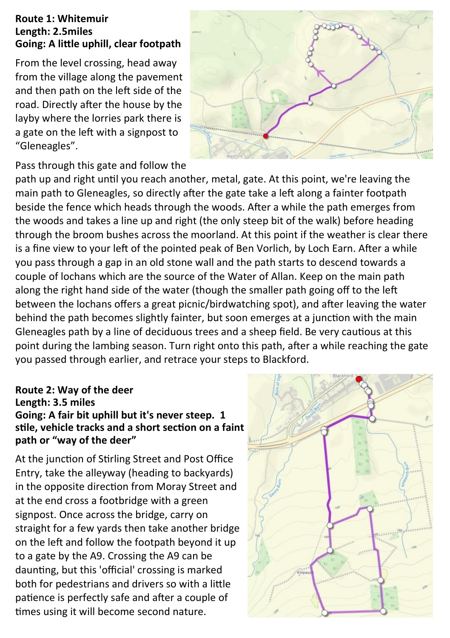## **Route 1: Whitemuir Length: 2.5miles Going: A little uphill, clear footpath**

From the level crossing, head away from the village along the pavement and then path on the left side of the road. Directly after the house by the layby where the lorries park there is a gate on the left with a signpost to "Gleneagles".



## Pass through this gate and follow the

path up and right until you reach another, metal, gate. At this point, we're leaving the main path to Gleneagles, so directly after the gate take a left along a fainter footpath beside the fence which heads through the woods. After a while the path emerges from the woods and takes a line up and right (the only steep bit of the walk) before heading through the broom bushes across the moorland. At this point if the weather is clear there is a fine view to your left of the pointed peak of Ben Vorlich, by Loch Earn. After a while you pass through a gap in an old stone wall and the path starts to descend towards a couple of lochans which are the source of the Water of Allan. Keep on the main path along the right hand side of the water (though the smaller path going off to the left between the lochans offers a great picnic/birdwatching spot), and after leaving the water behind the path becomes slightly fainter, but soon emerges at a junction with the main Gleneagles path by a line of deciduous trees and a sheep field. Be very cautious at this point during the lambing season. Turn right onto this path, after a while reaching the gate you passed through earlier, and retrace your steps to Blackford.

# **Route 2: Way of the deer**

# **Length: 3.5 miles Going: A fair bit uphill but it's never steep. 1 stile, vehicle tracks and a short section on a faint path or "way of the deer"**

At the junction of Stirling Street and Post Office Entry, take the alleyway (heading to backyards) in the opposite direction from Moray Street and at the end cross a footbridge with a green signpost. Once across the bridge, carry on straight for a few yards then take another bridge on the left and follow the footpath beyond it up to a gate by the A9. Crossing the A9 can be daunting, but this 'official' crossing is marked both for pedestrians and drivers so with a little patience is perfectly safe and after a couple of times using it will become second nature.